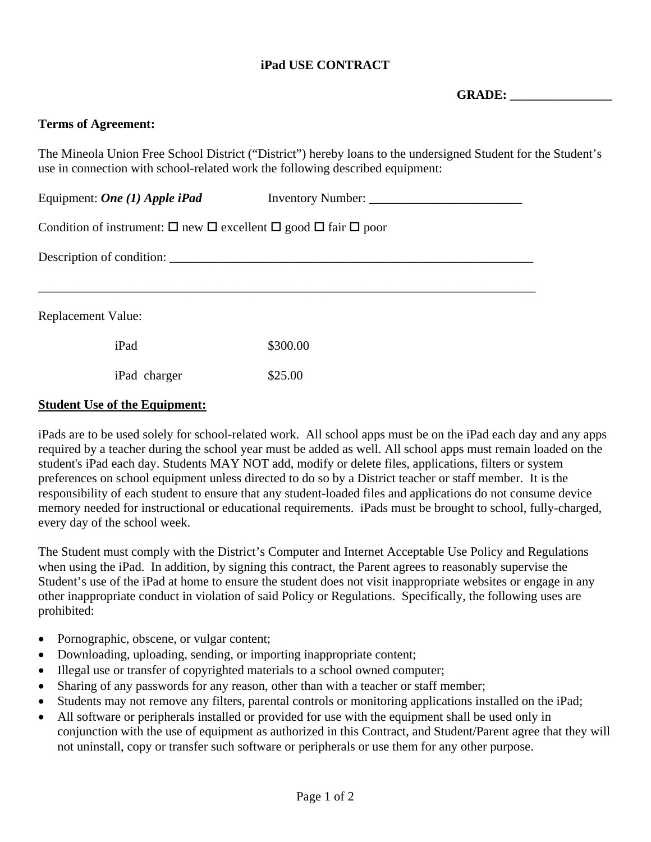# **iPad USE CONTRACT**

GRADE:

#### **Terms of Agreement:**

The Mineola Union Free School District ("District") hereby loans to the undersigned Student for the Student's use in connection with school-related work the following described equipment:

| Equipment: <i>One</i> (1) Apple iPad                                                                    | Inventory Number: |  |
|---------------------------------------------------------------------------------------------------------|-------------------|--|
| Condition of instrument: $\square$ new $\square$ excellent $\square$ good $\square$ fair $\square$ poor |                   |  |
| Description of condition:                                                                               |                   |  |
|                                                                                                         |                   |  |
| <b>Replacement Value:</b>                                                                               |                   |  |
| iPad                                                                                                    | \$300.00          |  |
| iPad charger                                                                                            | \$25.00           |  |

#### **Student Use of the Equipment:**

iPads are to be used solely for school-related work. All school apps must be on the iPad each day and any apps required by a teacher during the school year must be added as well. All school apps must remain loaded on the student's iPad each day. Students MAY NOT add, modify or delete files, applications, filters or system preferences on school equipment unless directed to do so by a District teacher or staff member. It is the responsibility of each student to ensure that any student-loaded files and applications do not consume device memory needed for instructional or educational requirements. iPads must be brought to school, fully-charged, every day of the school week.

The Student must comply with the District's Computer and Internet Acceptable Use Policy and Regulations when using the iPad. In addition, by signing this contract, the Parent agrees to reasonably supervise the Student's use of the iPad at home to ensure the student does not visit inappropriate websites or engage in any other inappropriate conduct in violation of said Policy or Regulations. Specifically, the following uses are prohibited:

- Pornographic, obscene, or vulgar content;
- Downloading, uploading, sending, or importing inappropriate content;
- Illegal use or transfer of copyrighted materials to a school owned computer;
- Sharing of any passwords for any reason, other than with a teacher or staff member;
- Students may not remove any filters, parental controls or monitoring applications installed on the iPad;
- All software or peripherals installed or provided for use with the equipment shall be used only in conjunction with the use of equipment as authorized in this Contract, and Student/Parent agree that they will not uninstall, copy or transfer such software or peripherals or use them for any other purpose.